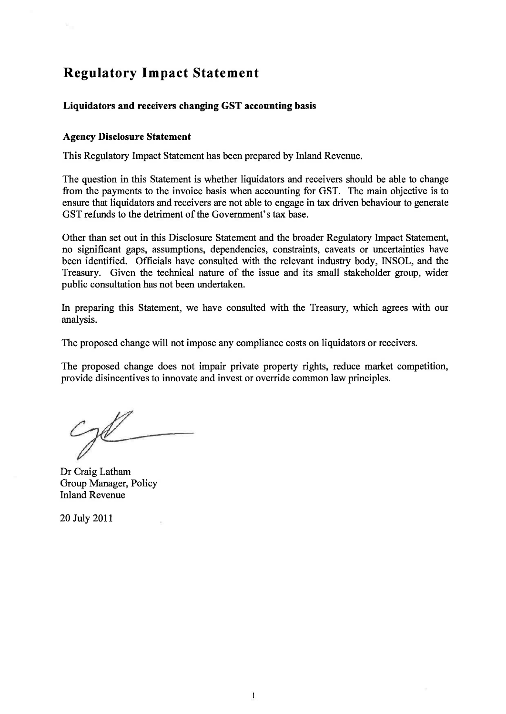# **Regulatory Impact Statement**

# **Liquidators and receivers changing GST accounting basis**

#### **Agency Disclosure Statement**

**This Regulatory Impact Statement has been prepared by Inland Revenue.** 

**The question in this Statement is whether liquidators and receivers should be able to change from the payments to the invoice basis when accounting for GST. The main objective is to ensure that liquidators and receivers are not able to engage in tax driven behaviour to generate GST refunds to the detriment of the Government's tax base.** 

**Other than set out in this Disclosure Statement and the broader Regulatory Impact Statement, no significant gaps, assumptions, dependencies, constraints, caveats or uncertainties have been identified. Officials have consulted with the relevant industry body, INSOL, and the Treasury. Given the technical nature of the issue and its small stakeholder group, wider public consultation has not been undertaken.** 

**In preparing this Statement, we have consulted with the Treasury, which agrees with our analysis.** 

**The proposed change will not impose any compliance costs on liquidators or receivers.** 

**The proposed change does not impair private property rights, reduce market competition, provide disincentives to innovate and invest or override common law principles.** 

**Dr Craig Latham Group Manager, Policy Inland Revenue** 

**20 July 2011**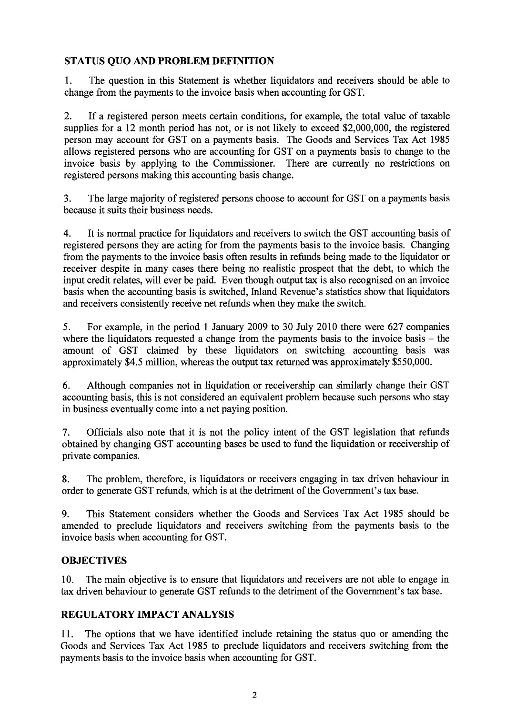# **STATUS QUO AND PROBLEM DEFINITION**

1. The question in this Statement is whether liquidators and receivers should be able to change from the payments to the invoice basis when accounting for GST.

2. If a registered person meets certain conditions, for example, the total value of taxable supplies for a 12 month period has not, or is not likely to exceed \$2,000,000, the registered person may account for GST on a payments basis. The Goods and Services Tax Act 1985 allows registered persons who are accounting for GST on a payments basis to change to the invoice basis by applying to the Commissioner. There are currently no restrictions on registered persons making this accounting basis change.

3. The large majority of registered persons choose to account for GST on a payments basis because it suits their business needs.

4. It is normal practice for liquidators and receivers to switch the GST accounting basis of registered persons they are acting for from the payments basis to the invoice basis. Changing from the payments to the invoice basis often results in refunds being made to the liquidator or receiver despite in many cases there being no realistic prospect that the debt, to which the input credit relates, will ever be paid. Even though output tax is also recognised on an invoice basis when the accounting basis is switched, Inland Revenue's statistics show that liquidators and receivers consistently receive net refunds when they make the switch.

5. For example, in the period 1 January 2009 to 30 July 2010 there were 627 companies where the liquidators requested a change from the payments basis to the invoice basis  $-$  the amount of GST claimed by these liquidators on switching accounting basis was approximately \$4.5 million, whereas the output tax returned was approximately \$550,000.

6. Although companies not in liquidation or receivership can similarly change their GST accounting basis, this is not considered an equivalent problem because such persons who stay in business eventually come into a net paying position.

7. Officials also note that it is not the policy intent of the GST legislation that refunds obtained by changing GST accounting bases be used to fund the liquidation or receivership of private companies.

8. The problem, therefore, is liquidators or receivers engaging in tax driven behaviour in order to generate GST refunds, which is at the detriment of the Government's tax base.

9. This Statement considers whether the Goods and Services Tax Act 1985 should be amended to preclude liquidators and receivers switching from the payments basis to the invoice basis when accounting for GST.

## **OBJECTIVES**

10. The main objective is to ensure that liquidators and receivers are not able to engage in tax driven behaviour to generate GST refunds to the detriment of the Government's tax base.

## **REGULATORY IMPACT ANALYSIS**

11. The options that we have identified include retaining the status quo or amending the Goods and Services Tax Act 1985 to preclude liquidators and receivers switching from the payments basis to the invoice basis when accounting for GST.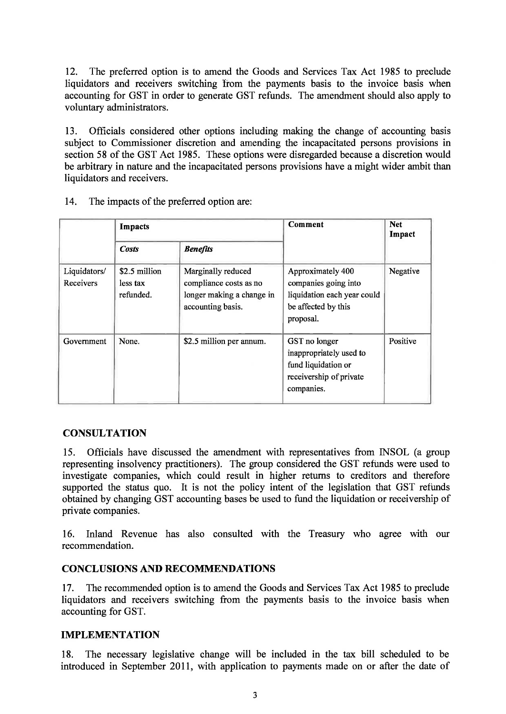**12. The preferred option is to amend the Goods and Services Tax Act 1985 to preclude liquidators and receivers switching from the payments basis to the invoice basis when accounting for GST in order to generate GST refunds. The amendment should also apply to voluntary administrators.** 

**13. Officials considered other options including making the change of accounting basis subject to Commissioner discretion and amending the incapacitated persons provisions in section 58 of the GST Act 1985. These options were disregarded because a discretion would be arbitrary in nature and the incapacitated persons provisions have a might wider ambit than liquidators and receivers.** 

|                           | Impacts                                |                                                                                                | <b>Comment</b>                                                                                               | <b>Net</b><br>Impact |
|---------------------------|----------------------------------------|------------------------------------------------------------------------------------------------|--------------------------------------------------------------------------------------------------------------|----------------------|
|                           | <b>Costs</b>                           | <b>Benefits</b>                                                                                |                                                                                                              |                      |
| Liquidators/<br>Receivers | \$2.5 million<br>less tax<br>refunded. | Marginally reduced<br>compliance costs as no<br>longer making a change in<br>accounting basis. | Approximately 400<br>companies going into<br>liquidation each year could<br>be affected by this<br>proposal. | Negative             |
| Government                | None.                                  | \$2.5 million per annum.                                                                       | GST no longer<br>inappropriately used to<br>fund liquidation or<br>receivership of private<br>companies.     | Positive             |

**14. The impacts of the preferred option are:** 

## **CONSULTATION**

**15. Officials have discussed the amendment with representatives from INSOL (a group representing insolvency practitioners). The group considered the GST refunds were used to investigate companies, which could result in higher returns to creditors and therefore supported the status quo. It is not the policy intent of the legislation that GST refunds obtained by changing GST accounting bases be used to fund the liquidation or receivership of private companies.** 

**16. Inland Revenue has also consulted with the Treasury who agree with our recommendation.** 

#### **CONCLUSIONS AND RECOMMENDATIONS**

**17. The recommended option is to amend the Goods and Services Tax Act 1985 to preclude liquidators and receivers switching from the payments basis to the invoice basis when accounting for GST.** 

#### **IMPLEMENTATION**

**18. The necessary legislative change will be included in the tax bill scheduled to be introduced in September 2011, with application to payments made on or after the date of**